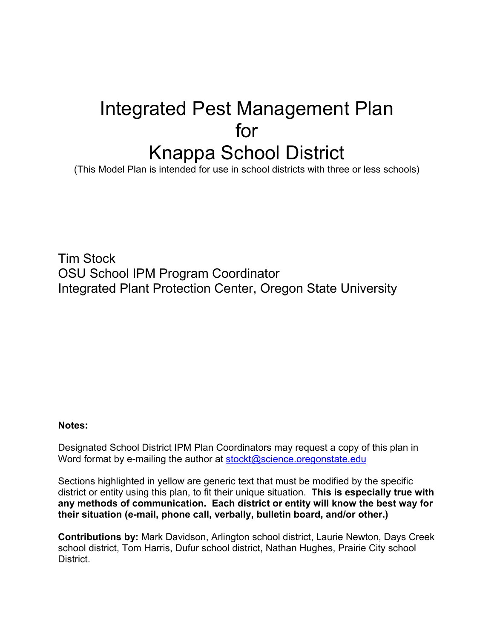# Integrated Pest Management Plan for Knappa School District

(This Model Plan is intended for use in school districts with three or less schools)

Tim Stock OSU School IPM Program Coordinator Integrated Plant Protection Center, Oregon State University

#### **Notes:**

Designated School District IPM Plan Coordinators may request a copy of this plan in Word format by e-mailing the author at [stockt@science.oregonstate.edu](mailto:stockt@science.oregonstate.edu)

Sections highlighted in yellow are generic text that must be modified by the specific district or entity using this plan, to fit their unique situation. **This is especially true with any methods of communication. Each district or entity will know the best way for their situation (e-mail, phone call, verbally, bulletin board, and/or other.)**

**Contributions by:** Mark Davidson, Arlington school district, Laurie Newton, Days Creek school district, Tom Harris, Dufur school district, Nathan Hughes, Prairie City school District.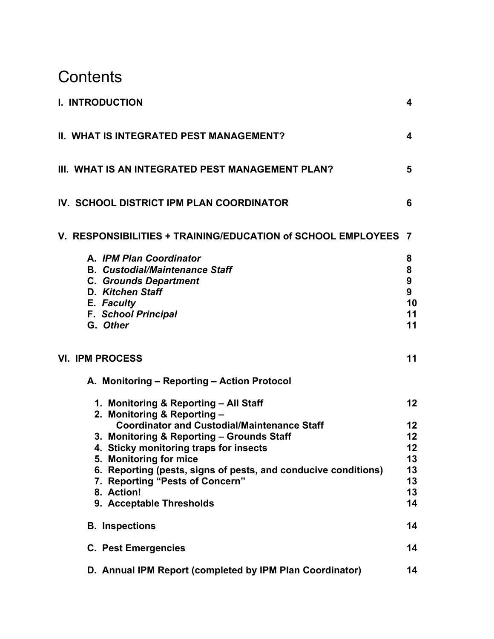# **Contents**

| I. INTRODUCTION                                                                                                                                                                                                                                                                                                                                                                            | 4                                                  |
|--------------------------------------------------------------------------------------------------------------------------------------------------------------------------------------------------------------------------------------------------------------------------------------------------------------------------------------------------------------------------------------------|----------------------------------------------------|
| II. WHAT IS INTEGRATED PEST MANAGEMENT?                                                                                                                                                                                                                                                                                                                                                    | 4                                                  |
| III. WHAT IS AN INTEGRATED PEST MANAGEMENT PLAN?                                                                                                                                                                                                                                                                                                                                           | 5                                                  |
| IV. SCHOOL DISTRICT IPM PLAN COORDINATOR                                                                                                                                                                                                                                                                                                                                                   | 6                                                  |
| V. RESPONSIBILITIES + TRAINING/EDUCATION of SCHOOL EMPLOYEES 7                                                                                                                                                                                                                                                                                                                             |                                                    |
| A. IPM Plan Coordinator<br><b>B. Custodial/Maintenance Staff</b><br><b>C. Grounds Department</b><br>D. Kitchen Staff<br>E. Faculty<br><b>F. School Principal</b><br>G. Other                                                                                                                                                                                                               | 8<br>8<br>9<br>9<br>10<br>11<br>11                 |
| <b>VI. IPM PROCESS</b>                                                                                                                                                                                                                                                                                                                                                                     | 11                                                 |
| A. Monitoring - Reporting - Action Protocol                                                                                                                                                                                                                                                                                                                                                |                                                    |
| 1. Monitoring & Reporting - All Staff<br>2. Monitoring & Reporting -<br><b>Coordinator and Custodial/Maintenance Staff</b><br>3. Monitoring & Reporting - Grounds Staff<br>4. Sticky monitoring traps for insects<br>5. Monitoring for mice<br>6. Reporting (pests, signs of pests, and conducive conditions)<br>7. Reporting "Pests of Concern"<br>8. Action!<br>9. Acceptable Thresholds | 12<br>12<br>12<br>12<br>13<br>13<br>13<br>13<br>14 |
| <b>B.</b> Inspections                                                                                                                                                                                                                                                                                                                                                                      | 14                                                 |
| <b>C. Pest Emergencies</b><br>D. Annual IPM Report (completed by IPM Plan Coordinator)                                                                                                                                                                                                                                                                                                     | 14<br>14                                           |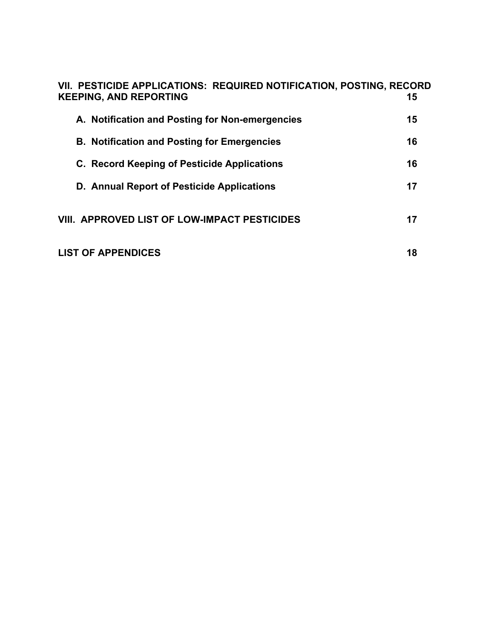| VII. PESTICIDE APPLICATIONS: REQUIRED NOTIFICATION, POSTING, RECORD<br><b>KEEPING, AND REPORTING</b> | 15 |
|------------------------------------------------------------------------------------------------------|----|
| A. Notification and Posting for Non-emergencies                                                      | 15 |
| <b>B. Notification and Posting for Emergencies</b>                                                   | 16 |
| C. Record Keeping of Pesticide Applications                                                          | 16 |
| D. Annual Report of Pesticide Applications                                                           | 17 |
| <b>VIII. APPROVED LIST OF LOW-IMPACT PESTICIDES</b>                                                  | 17 |
| <b>LIST OF APPENDICES</b>                                                                            | 18 |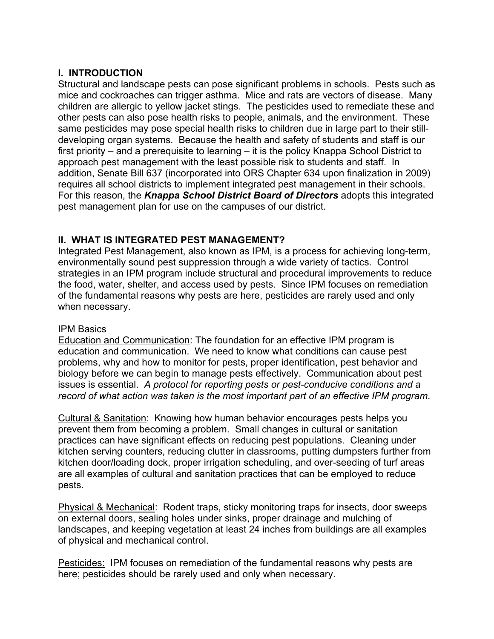#### **I. INTRODUCTION**

Structural and landscape pests can pose significant problems in schools. Pests such as mice and cockroaches can trigger asthma. Mice and rats are vectors of disease. Many children are allergic to yellow jacket stings. The pesticides used to remediate these and other pests can also pose health risks to people, animals, and the environment. These same pesticides may pose special health risks to children due in large part to their stilldeveloping organ systems. Because the health and safety of students and staff is our first priority – and a prerequisite to learning – it is the policy Knappa School District to approach pest management with the least possible risk to students and staff. In addition, Senate Bill 637 (incorporated into ORS Chapter 634 upon finalization in 2009) requires all school districts to implement integrated pest management in their schools. For this reason, the *Knappa School District Board of Directors* adopts this integrated pest management plan for use on the campuses of our district.

# **II. WHAT IS INTEGRATED PEST MANAGEMENT?**

Integrated Pest Management, also known as IPM, is a process for achieving long-term, environmentally sound pest suppression through a wide variety of tactics. Control strategies in an IPM program include structural and procedural improvements to reduce the food, water, shelter, and access used by pests. Since IPM focuses on remediation of the fundamental reasons why pests are here, pesticides are rarely used and only when necessary.

#### IPM Basics

Education and Communication: The foundation for an effective IPM program is education and communication. We need to know what conditions can cause pest problems, why and how to monitor for pests, proper identification, pest behavior and biology before we can begin to manage pests effectively. Communication about pest issues is essential. *A protocol for reporting pests or pest-conducive conditions and a record of what action was taken is the most important part of an effective IPM program*.

Cultural & Sanitation: Knowing how human behavior encourages pests helps you prevent them from becoming a problem. Small changes in cultural or sanitation practices can have significant effects on reducing pest populations. Cleaning under kitchen serving counters, reducing clutter in classrooms, putting dumpsters further from kitchen door/loading dock, proper irrigation scheduling, and over-seeding of turf areas are all examples of cultural and sanitation practices that can be employed to reduce pests.

Physical & Mechanical: Rodent traps, sticky monitoring traps for insects, door sweeps on external doors, sealing holes under sinks, proper drainage and mulching of landscapes, and keeping vegetation at least 24 inches from buildings are all examples of physical and mechanical control.

**Pesticides:** IPM focuses on remediation of the fundamental reasons why pests are here; pesticides should be rarely used and only when necessary.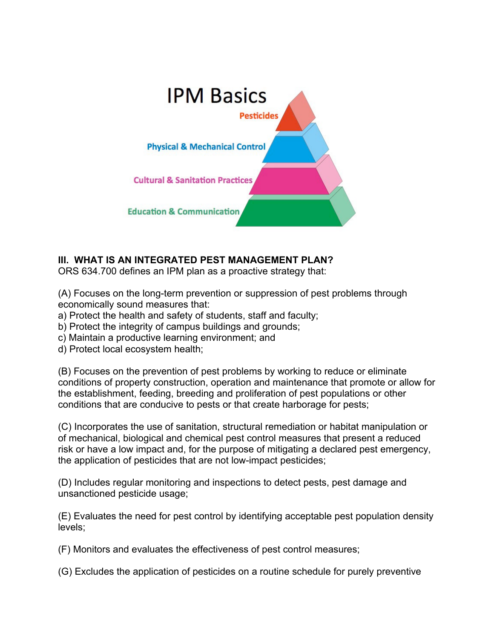

# **III. WHAT IS AN INTEGRATED PEST MANAGEMENT PLAN?**

ORS 634.700 defines an IPM plan as a proactive strategy that:

(A) Focuses on the long-term prevention or suppression of pest problems through economically sound measures that:

- a) Protect the health and safety of students, staff and faculty;
- b) Protect the integrity of campus buildings and grounds;
- c) Maintain a productive learning environment; and
- d) Protect local ecosystem health;

(B) Focuses on the prevention of pest problems by working to reduce or eliminate conditions of property construction, operation and maintenance that promote or allow for the establishment, feeding, breeding and proliferation of pest populations or other conditions that are conducive to pests or that create harborage for pests;

(C) Incorporates the use of sanitation, structural remediation or habitat manipulation or of mechanical, biological and chemical pest control measures that present a reduced risk or have a low impact and, for the purpose of mitigating a declared pest emergency, the application of pesticides that are not low-impact pesticides;

(D) Includes regular monitoring and inspections to detect pests, pest damage and unsanctioned pesticide usage;

(E) Evaluates the need for pest control by identifying acceptable pest population density levels;

(F) Monitors and evaluates the effectiveness of pest control measures;

(G) Excludes the application of pesticides on a routine schedule for purely preventive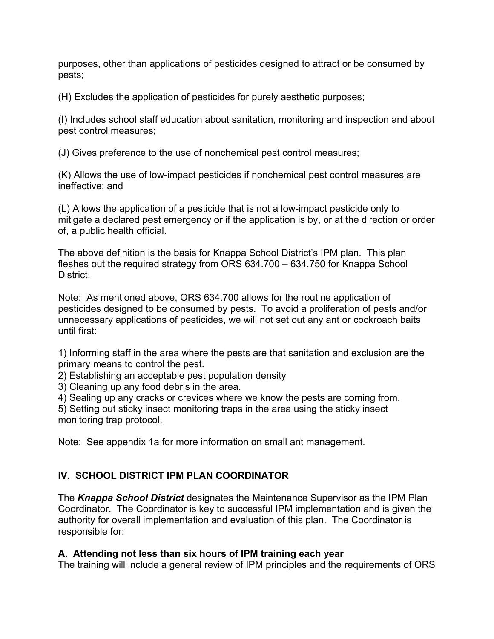purposes, other than applications of pesticides designed to attract or be consumed by pests;

(H) Excludes the application of pesticides for purely aesthetic purposes;

(I) Includes school staff education about sanitation, monitoring and inspection and about pest control measures;

(J) Gives preference to the use of nonchemical pest control measures;

(K) Allows the use of low-impact pesticides if nonchemical pest control measures are ineffective; and

(L) Allows the application of a pesticide that is not a low-impact pesticide only to mitigate a declared pest emergency or if the application is by, or at the direction or order of, a public health official.

The above definition is the basis for Knappa School District's IPM plan. This plan fleshes out the required strategy from ORS 634.700 – 634.750 for Knappa School **District.** 

Note: As mentioned above, ORS 634.700 allows for the routine application of pesticides designed to be consumed by pests. To avoid a proliferation of pests and/or unnecessary applications of pesticides, we will not set out any ant or cockroach baits until first:

1) Informing staff in the area where the pests are that sanitation and exclusion are the primary means to control the pest.

2) Establishing an acceptable pest population density

3) Cleaning up any food debris in the area.

4) Sealing up any cracks or crevices where we know the pests are coming from.

5) Setting out sticky insect monitoring traps in the area using the sticky insect monitoring trap protocol.

Note: See appendix 1a for more information on small ant management.

# **IV. SCHOOL DISTRICT IPM PLAN COORDINATOR**

The *Knappa School District* designates the Maintenance Supervisor as the IPM Plan Coordinator. The Coordinator is key to successful IPM implementation and is given the authority for overall implementation and evaluation of this plan. The Coordinator is responsible for:

# **A. Attending not less than six hours of IPM training each year**

The training will include a general review of IPM principles and the requirements of ORS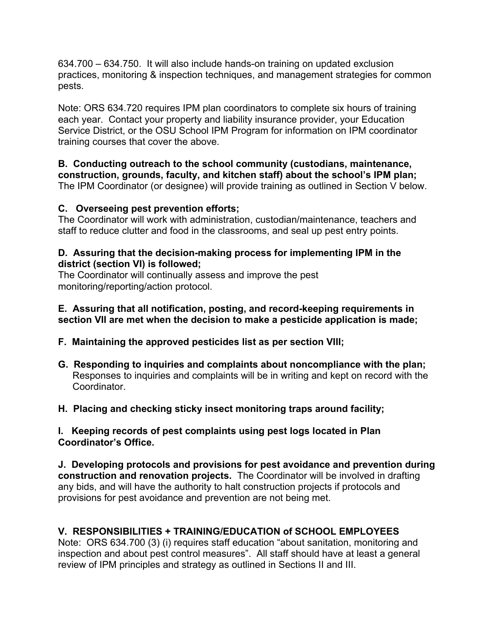634.700 – 634.750. It will also include hands-on training on updated exclusion practices, monitoring & inspection techniques, and management strategies for common pests.

Note: ORS 634.720 requires IPM plan coordinators to complete six hours of training each year. Contact your property and liability insurance provider, your Education Service District, or the OSU School IPM Program for information on IPM coordinator training courses that cover the above.

**B. Conducting outreach to the school community (custodians, maintenance, construction, grounds, faculty, and kitchen staff) about the school's IPM plan;** The IPM Coordinator (or designee) will provide training as outlined in Section V below.

# **C. Overseeing pest prevention efforts;**

The Coordinator will work with administration, custodian/maintenance, teachers and staff to reduce clutter and food in the classrooms, and seal up pest entry points.

#### **D. Assuring that the decision-making process for implementing IPM in the district (section VI) is followed;**

The Coordinator will continually assess and improve the pest monitoring/reporting/action protocol.

#### **E. Assuring that all notification, posting, and record-keeping requirements in section VII are met when the decision to make a pesticide application is made;**

- **F. Maintaining the approved pesticides list as per section VIII;**
- **G. Responding to inquiries and complaints about noncompliance with the plan;** Responses to inquiries and complaints will be in writing and kept on record with the **Coordinator**
- **H. Placing and checking sticky insect monitoring traps around facility;**

**I. Keeping records of pest complaints using pest logs located in Plan Coordinator's Office.**

**J. Developing protocols and provisions for pest avoidance and prevention during construction and renovation projects.** The Coordinator will be involved in drafting any bids, and will have the authority to halt construction projects if protocols and provisions for pest avoidance and prevention are not being met.

# **V. RESPONSIBILITIES + TRAINING/EDUCATION of SCHOOL EMPLOYEES**

Note: ORS 634.700 (3) (i) requires staff education "about sanitation, monitoring and inspection and about pest control measures". All staff should have at least a general review of IPM principles and strategy as outlined in Sections II and III.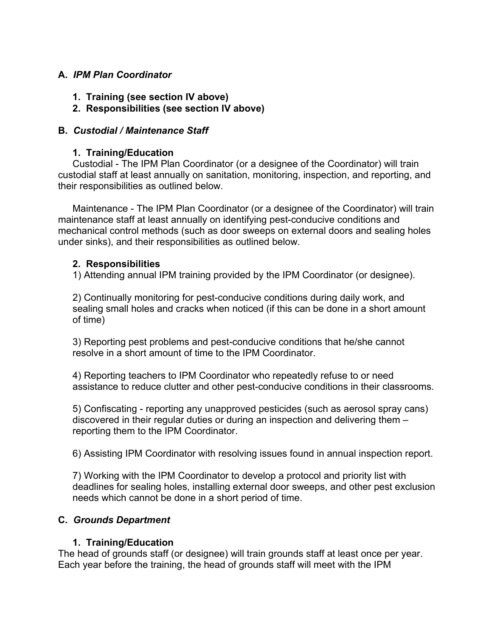#### **A.** *IPM Plan Coordinator*

- **1. Training (see section IV above)**
- **2. Responsibilities (see section IV above)**

#### **B.** *Custodial / Maintenance Staff*

#### **1. Training/Education**

Custodial - The IPM Plan Coordinator (or a designee of the Coordinator) will train custodial staff at least annually on sanitation, monitoring, inspection, and reporting, and their responsibilities as outlined below.

Maintenance - The IPM Plan Coordinator (or a designee of the Coordinator) will train maintenance staff at least annually on identifying pest-conducive conditions and mechanical control methods (such as door sweeps on external doors and sealing holes under sinks), and their responsibilities as outlined below.

#### **2. Responsibilities**

1) Attending annual IPM training provided by the IPM Coordinator (or designee).

2) Continually monitoring for pest-conducive conditions during daily work, and sealing small holes and cracks when noticed (if this can be done in a short amount of time)

3) Reporting pest problems and pest-conducive conditions that he/she cannot resolve in a short amount of time to the IPM Coordinator.

4) Reporting teachers to IPM Coordinator who repeatedly refuse to or need assistance to reduce clutter and other pest-conducive conditions in their classrooms.

5) Confiscating - reporting any unapproved pesticides (such as aerosol spray cans) discovered in their regular duties or during an inspection and delivering them – reporting them to the IPM Coordinator.

6) Assisting IPM Coordinator with resolving issues found in annual inspection report.

7) Working with the IPM Coordinator to develop a protocol and priority list with deadlines for sealing holes, installing external door sweeps, and other pest exclusion needs which cannot be done in a short period of time.

#### **C.** *Grounds Department*

# **1. Training/Education**

The head of grounds staff (or designee) will train grounds staff at least once per year. Each year before the training, the head of grounds staff will meet with the IPM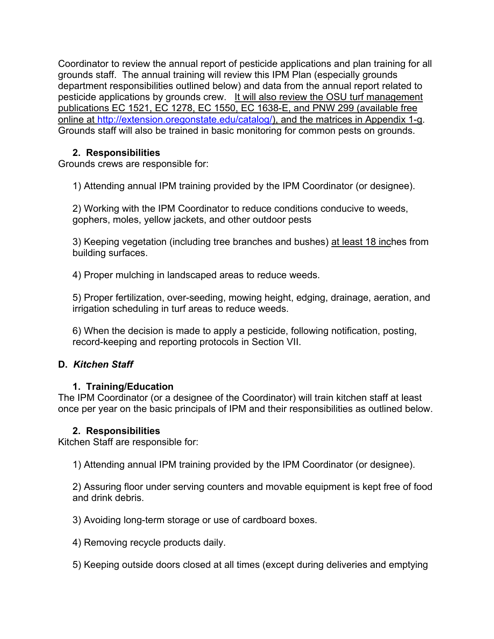Coordinator to review the annual report of pesticide applications and plan training for all grounds staff. The annual training will review this IPM Plan (especially grounds department responsibilities outlined below) and data from the annual report related to pesticide applications by grounds crew. It will also review the OSU turf management publications EC 1521, EC 1278, EC 1550, EC 1638-E, and PNW 299 (available free online at [http://extension.oregonstate.edu/catalog/\)](http://extension.oregonstate.edu/catalog/), and the matrices in Appendix 1-g. Grounds staff will also be trained in basic monitoring for common pests on grounds.

# **2. Responsibilities**

Grounds crews are responsible for:

1) Attending annual IPM training provided by the IPM Coordinator (or designee).

2) Working with the IPM Coordinator to reduce conditions conducive to weeds, gophers, moles, yellow jackets, and other outdoor pests

3) Keeping vegetation (including tree branches and bushes) at least 18 inches from building surfaces.

4) Proper mulching in landscaped areas to reduce weeds.

5) Proper fertilization, over-seeding, mowing height, edging, drainage, aeration, and irrigation scheduling in turf areas to reduce weeds.

6) When the decision is made to apply a pesticide, following notification, posting, record-keeping and reporting protocols in Section VII.

# **D.** *Kitchen Staff*

# **1. Training/Education**

The IPM Coordinator (or a designee of the Coordinator) will train kitchen staff at least once per year on the basic principals of IPM and their responsibilities as outlined below.

# **2. Responsibilities**

Kitchen Staff are responsible for:

1) Attending annual IPM training provided by the IPM Coordinator (or designee).

2) Assuring floor under serving counters and movable equipment is kept free of food and drink debris.

3) Avoiding long-term storage or use of cardboard boxes.

4) Removing recycle products daily.

5) Keeping outside doors closed at all times (except during deliveries and emptying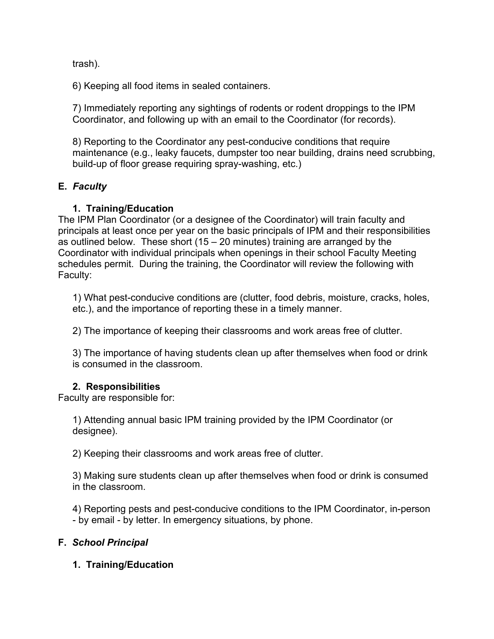trash).

6) Keeping all food items in sealed containers.

7) Immediately reporting any sightings of rodents or rodent droppings to the IPM Coordinator, and following up with an email to the Coordinator (for records).

8) Reporting to the Coordinator any pest-conducive conditions that require maintenance (e.g., leaky faucets, dumpster too near building, drains need scrubbing, build-up of floor grease requiring spray-washing, etc.)

# **E.** *Faculty*

# **1. Training/Education**

The IPM Plan Coordinator (or a designee of the Coordinator) will train faculty and principals at least once per year on the basic principals of IPM and their responsibilities as outlined below. These short  $(15 – 20$  minutes) training are arranged by the Coordinator with individual principals when openings in their school Faculty Meeting schedules permit. During the training, the Coordinator will review the following with Faculty:

1) What pest-conducive conditions are (clutter, food debris, moisture, cracks, holes, etc.), and the importance of reporting these in a timely manner.

2) The importance of keeping their classrooms and work areas free of clutter.

3) The importance of having students clean up after themselves when food or drink is consumed in the classroom.

# **2. Responsibilities**

Faculty are responsible for:

1) Attending annual basic IPM training provided by the IPM Coordinator (or designee).

2) Keeping their classrooms and work areas free of clutter.

3) Making sure students clean up after themselves when food or drink is consumed in the classroom.

4) Reporting pests and pest-conducive conditions to the IPM Coordinator, in-person - by email - by letter. In emergency situations, by phone.

# **F.** *School Principal*

# **1. Training/Education**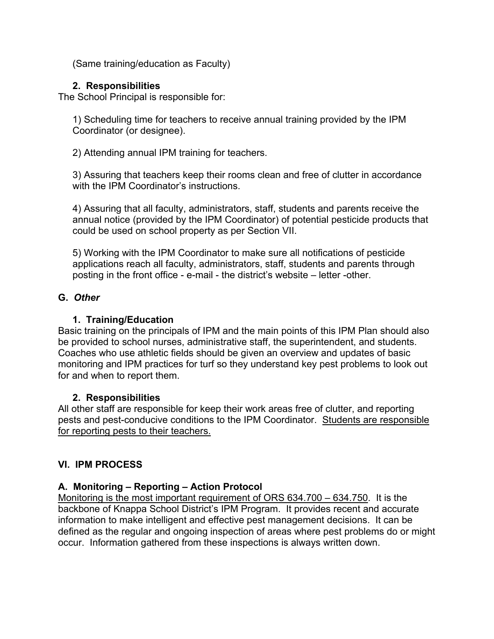(Same training/education as Faculty)

# **2. Responsibilities**

The School Principal is responsible for:

1) Scheduling time for teachers to receive annual training provided by the IPM Coordinator (or designee).

2) Attending annual IPM training for teachers.

3) Assuring that teachers keep their rooms clean and free of clutter in accordance with the IPM Coordinator's instructions.

4) Assuring that all faculty, administrators, staff, students and parents receive the annual notice (provided by the IPM Coordinator) of potential pesticide products that could be used on school property as per Section VII.

5) Working with the IPM Coordinator to make sure all notifications of pesticide applications reach all faculty, administrators, staff, students and parents through posting in the front office - e-mail - the district's website – letter -other.

# **G.** *Other*

# **1. Training/Education**

Basic training on the principals of IPM and the main points of this IPM Plan should also be provided to school nurses, administrative staff, the superintendent, and students. Coaches who use athletic fields should be given an overview and updates of basic monitoring and IPM practices for turf so they understand key pest problems to look out for and when to report them.

# **2. Responsibilities**

All other staff are responsible for keep their work areas free of clutter, and reporting pests and pest-conducive conditions to the IPM Coordinator. Students are responsible for reporting pests to their teachers.

# **VI. IPM PROCESS**

# **A. Monitoring – Reporting – Action Protocol**

Monitoring is the most important requirement of ORS 634.700 – 634.750. It is the backbone of Knappa School District's IPM Program. It provides recent and accurate information to make intelligent and effective pest management decisions. It can be defined as the regular and ongoing inspection of areas where pest problems do or might occur. Information gathered from these inspections is always written down.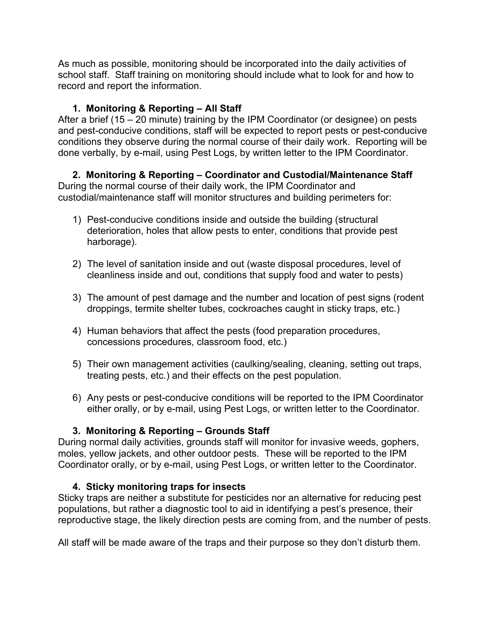As much as possible, monitoring should be incorporated into the daily activities of school staff. Staff training on monitoring should include what to look for and how to record and report the information.

# **1. Monitoring & Reporting – All Staff**

After a brief (15 – 20 minute) training by the IPM Coordinator (or designee) on pests and pest-conducive conditions, staff will be expected to report pests or pest-conducive conditions they observe during the normal course of their daily work. Reporting will be done verbally, by e-mail, using Pest Logs, by written letter to the IPM Coordinator.

#### **2. Monitoring & Reporting – Coordinator and Custodial/Maintenance Staff** During the normal course of their daily work, the IPM Coordinator and custodial/maintenance staff will monitor structures and building perimeters for:

- 1) Pest-conducive conditions inside and outside the building (structural deterioration, holes that allow pests to enter, conditions that provide pest harborage).
- 2) The level of sanitation inside and out (waste disposal procedures, level of cleanliness inside and out, conditions that supply food and water to pests)
- 3) The amount of pest damage and the number and location of pest signs (rodent droppings, termite shelter tubes, cockroaches caught in sticky traps, etc.)
- 4) Human behaviors that affect the pests (food preparation procedures, concessions procedures, classroom food, etc.)
- 5) Their own management activities (caulking/sealing, cleaning, setting out traps, treating pests, etc.) and their effects on the pest population.
- 6) Any pests or pest-conducive conditions will be reported to the IPM Coordinator either orally, or by e-mail, using Pest Logs, or written letter to the Coordinator.

# **3. Monitoring & Reporting – Grounds Staff**

During normal daily activities, grounds staff will monitor for invasive weeds, gophers, moles, yellow jackets, and other outdoor pests. These will be reported to the IPM Coordinator orally, or by e-mail, using Pest Logs, or written letter to the Coordinator.

# **4. Sticky monitoring traps for insects**

Sticky traps are neither a substitute for pesticides nor an alternative for reducing pest populations, but rather a diagnostic tool to aid in identifying a pest's presence, their reproductive stage, the likely direction pests are coming from, and the number of pests.

All staff will be made aware of the traps and their purpose so they don't disturb them.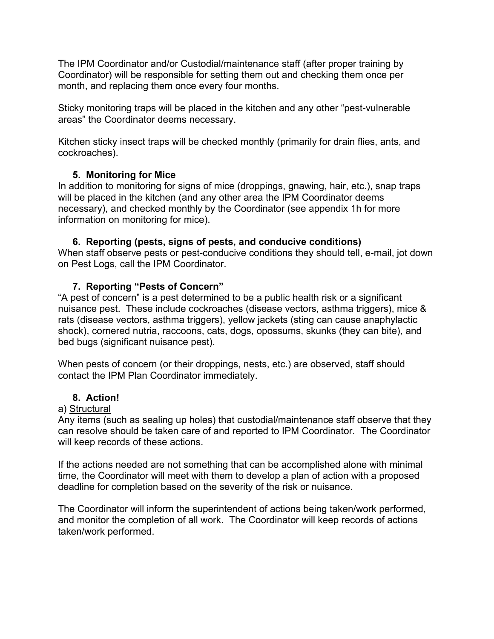The IPM Coordinator and/or Custodial/maintenance staff (after proper training by Coordinator) will be responsible for setting them out and checking them once per month, and replacing them once every four months.

Sticky monitoring traps will be placed in the kitchen and any other "pest-vulnerable areas" the Coordinator deems necessary.

Kitchen sticky insect traps will be checked monthly (primarily for drain flies, ants, and cockroaches).

# **5. Monitoring for Mice**

In addition to monitoring for signs of mice (droppings, gnawing, hair, etc.), snap traps will be placed in the kitchen (and any other area the IPM Coordinator deems necessary), and checked monthly by the Coordinator (see appendix 1h for more information on monitoring for mice).

#### **6. Reporting (pests, signs of pests, and conducive conditions)**

When staff observe pests or pest-conducive conditions they should tell, e-mail, jot down on Pest Logs, call the IPM Coordinator.

# **7. Reporting "Pests of Concern"**

"A pest of concern" is a pest determined to be a public health risk or a significant nuisance pest. These include cockroaches (disease vectors, asthma triggers), mice & rats (disease vectors, asthma triggers), yellow jackets (sting can cause anaphylactic shock), cornered nutria, raccoons, cats, dogs, opossums, skunks (they can bite), and bed bugs (significant nuisance pest).

When pests of concern (or their droppings, nests, etc.) are observed, staff should contact the IPM Plan Coordinator immediately.

#### **8. Action!**

#### a) Structural

Any items (such as sealing up holes) that custodial/maintenance staff observe that they can resolve should be taken care of and reported to IPM Coordinator. The Coordinator will keep records of these actions.

If the actions needed are not something that can be accomplished alone with minimal time, the Coordinator will meet with them to develop a plan of action with a proposed deadline for completion based on the severity of the risk or nuisance.

The Coordinator will inform the superintendent of actions being taken/work performed, and monitor the completion of all work. The Coordinator will keep records of actions taken/work performed.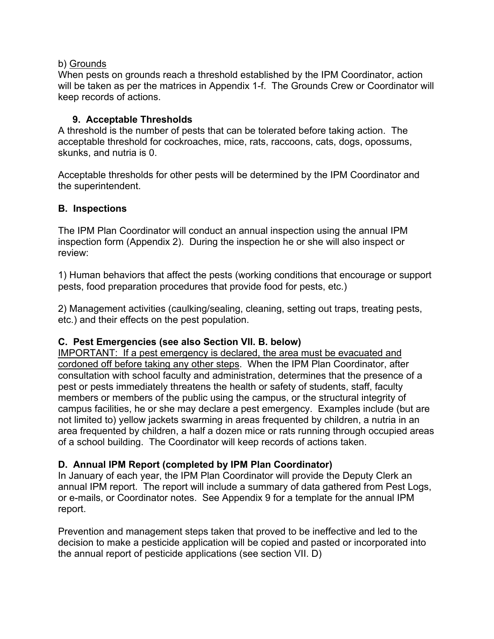#### b) Grounds

When pests on grounds reach a threshold established by the IPM Coordinator, action will be taken as per the matrices in Appendix 1-f. The Grounds Crew or Coordinator will keep records of actions.

#### **9. Acceptable Thresholds**

A threshold is the number of pests that can be tolerated before taking action. The acceptable threshold for cockroaches, mice, rats, raccoons, cats, dogs, opossums, skunks, and nutria is 0.

Acceptable thresholds for other pests will be determined by the IPM Coordinator and the superintendent.

#### **B. Inspections**

The IPM Plan Coordinator will conduct an annual inspection using the annual IPM inspection form (Appendix 2). During the inspection he or she will also inspect or review:

1) Human behaviors that affect the pests (working conditions that encourage or support pests, food preparation procedures that provide food for pests, etc.)

2) Management activities (caulking/sealing, cleaning, setting out traps, treating pests, etc.) and their effects on the pest population.

# **C. Pest Emergencies (see also Section VII. B. below)**

IMPORTANT: If a pest emergency is declared, the area must be evacuated and cordoned off before taking any other steps. When the IPM Plan Coordinator, after consultation with school faculty and administration, determines that the presence of a pest or pests immediately threatens the health or safety of students, staff, faculty members or members of the public using the campus, or the structural integrity of campus facilities, he or she may declare a pest emergency. Examples include (but are not limited to) yellow jackets swarming in areas frequented by children, a nutria in an area frequented by children, a half a dozen mice or rats running through occupied areas of a school building. The Coordinator will keep records of actions taken.

# **D. Annual IPM Report (completed by IPM Plan Coordinator)**

In January of each year, the IPM Plan Coordinator will provide the Deputy Clerk an annual IPM report. The report will include a summary of data gathered from Pest Logs, or e-mails, or Coordinator notes. See Appendix 9 for a template for the annual IPM report.

Prevention and management steps taken that proved to be ineffective and led to the decision to make a pesticide application will be copied and pasted or incorporated into the annual report of pesticide applications (see section VII. D)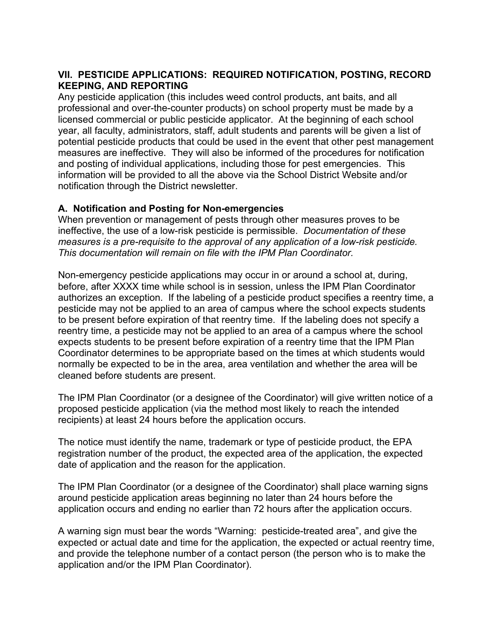# **VII. PESTICIDE APPLICATIONS: REQUIRED NOTIFICATION, POSTING, RECORD KEEPING, AND REPORTING**

Any pesticide application (this includes weed control products, ant baits, and all professional and over-the-counter products) on school property must be made by a licensed commercial or public pesticide applicator. At the beginning of each school year, all faculty, administrators, staff, adult students and parents will be given a list of potential pesticide products that could be used in the event that other pest management measures are ineffective. They will also be informed of the procedures for notification and posting of individual applications, including those for pest emergencies. This information will be provided to all the above via the School District Website and/or notification through the District newsletter.

# **A. Notification and Posting for Non-emergencies**

When prevention or management of pests through other measures proves to be ineffective, the use of a low-risk pesticide is permissible. *Documentation of these measures is a pre-requisite to the approval of any application of a low-risk pesticide. This documentation will remain on file with the IPM Plan Coordinator.*

Non-emergency pesticide applications may occur in or around a school at, during, before, after XXXX time while school is in session, unless the IPM Plan Coordinator authorizes an exception. If the labeling of a pesticide product specifies a reentry time, a pesticide may not be applied to an area of campus where the school expects students to be present before expiration of that reentry time. If the labeling does not specify a reentry time, a pesticide may not be applied to an area of a campus where the school expects students to be present before expiration of a reentry time that the IPM Plan Coordinator determines to be appropriate based on the times at which students would normally be expected to be in the area, area ventilation and whether the area will be cleaned before students are present.

The IPM Plan Coordinator (or a designee of the Coordinator) will give written notice of a proposed pesticide application (via the method most likely to reach the intended recipients) at least 24 hours before the application occurs.

The notice must identify the name, trademark or type of pesticide product, the EPA registration number of the product, the expected area of the application, the expected date of application and the reason for the application.

The IPM Plan Coordinator (or a designee of the Coordinator) shall place warning signs around pesticide application areas beginning no later than 24 hours before the application occurs and ending no earlier than 72 hours after the application occurs.

A warning sign must bear the words "Warning: pesticide-treated area", and give the expected or actual date and time for the application, the expected or actual reentry time, and provide the telephone number of a contact person (the person who is to make the application and/or the IPM Plan Coordinator).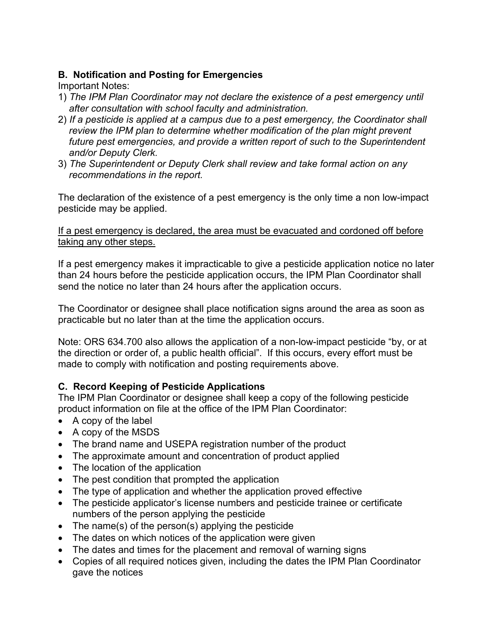# **B. Notification and Posting for Emergencies**

Important Notes:

- 1) *The IPM Plan Coordinator may not declare the existence of a pest emergency until after consultation with school faculty and administration.*
- 2) *If a pesticide is applied at a campus due to a pest emergency, the Coordinator shall review the IPM plan to determine whether modification of the plan might prevent future pest emergencies, and provide a written report of such to the Superintendent and/or Deputy Clerk.*
- 3) *The Superintendent or Deputy Clerk shall review and take formal action on any recommendations in the report.*

The declaration of the existence of a pest emergency is the only time a non low-impact pesticide may be applied.

#### If a pest emergency is declared, the area must be evacuated and cordoned off before taking any other steps.

If a pest emergency makes it impracticable to give a pesticide application notice no later than 24 hours before the pesticide application occurs, the IPM Plan Coordinator shall send the notice no later than 24 hours after the application occurs.

The Coordinator or designee shall place notification signs around the area as soon as practicable but no later than at the time the application occurs.

Note: ORS 634.700 also allows the application of a non-low-impact pesticide "by, or at the direction or order of, a public health official". If this occurs, every effort must be made to comply with notification and posting requirements above.

# **C. Record Keeping of Pesticide Applications**

The IPM Plan Coordinator or designee shall keep a copy of the following pesticide product information on file at the office of the IPM Plan Coordinator:

- A copy of the label
- A copy of the MSDS
- The brand name and USEPA registration number of the product
- The approximate amount and concentration of product applied
- The location of the application
- The pest condition that prompted the application
- The type of application and whether the application proved effective
- The pesticide applicator's license numbers and pesticide trainee or certificate numbers of the person applying the pesticide
- The name(s) of the person(s) applying the pesticide
- The dates on which notices of the application were given
- The dates and times for the placement and removal of warning signs
- Copies of all required notices given, including the dates the IPM Plan Coordinator gave the notices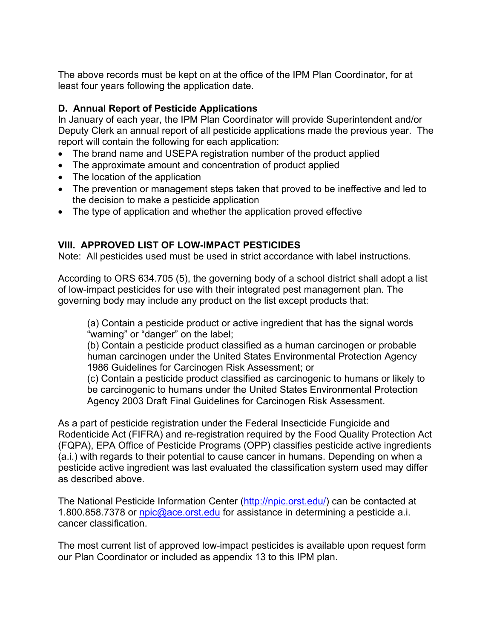The above records must be kept on at the office of the IPM Plan Coordinator, for at least four years following the application date.

# **D. Annual Report of Pesticide Applications**

In January of each year, the IPM Plan Coordinator will provide Superintendent and/or Deputy Clerk an annual report of all pesticide applications made the previous year. The report will contain the following for each application:

- The brand name and USEPA registration number of the product applied
- The approximate amount and concentration of product applied
- The location of the application
- The prevention or management steps taken that proved to be ineffective and led to the decision to make a pesticide application
- The type of application and whether the application proved effective

# **VIII. APPROVED LIST OF LOW-IMPACT PESTICIDES**

Note: All pesticides used must be used in strict accordance with label instructions.

According to ORS 634.705 (5), the governing body of a school district shall adopt a list of low-impact pesticides for use with their integrated pest management plan. The governing body may include any product on the list except products that:

(a) Contain a pesticide product or active ingredient that has the signal words "warning" or "danger" on the label;

(b) Contain a pesticide product classified as a human carcinogen or probable human carcinogen under the United States Environmental Protection Agency 1986 Guidelines for Carcinogen Risk Assessment; or

(c) Contain a pesticide product classified as carcinogenic to humans or likely to be carcinogenic to humans under the United States Environmental Protection Agency 2003 Draft Final Guidelines for Carcinogen Risk Assessment.

As a part of pesticide registration under the Federal Insecticide Fungicide and Rodenticide Act (FIFRA) and re-registration required by the Food Quality Protection Act (FQPA), EPA Office of Pesticide Programs (OPP) classifies pesticide active ingredients (a.i.) with regards to their potential to cause cancer in humans. Depending on when a pesticide active ingredient was last evaluated the classification system used may differ as described above.

The National Pesticide Information Center [\(http://npic.orst.edu/\)](http://npic.orst.edu/) can be contacted at 1.800.858.7378 or [npic@ace.orst.edu](mailto:npic@ace.orst.edu) for assistance in determining a pesticide a.i. cancer classification.

The most current list of approved low-impact pesticides is available upon request form our Plan Coordinator or included as appendix 13 to this IPM plan.